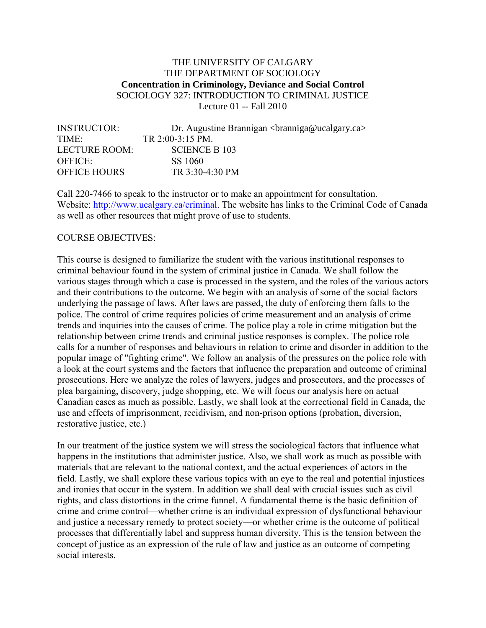# THE UNIVERSITY OF CALGARY THE DEPARTMENT OF SOCIOLOGY **Concentration in Criminology, Deviance and Social Control** SOCIOLOGY 327: INTRODUCTION TO CRIMINAL JUSTICE Lecture 01 -- Fall 2010

| <b>INSTRUCTOR:</b>  | Dr. Augustine Brannigan $\alpha$ <sup>2</sup> $\alpha$ <sup>2</sup> $\alpha$ <sup>2</sup> |
|---------------------|-------------------------------------------------------------------------------------------|
| TIME <sup>.</sup>   | TR 2:00-3:15 PM.                                                                          |
| LECTURE ROOM:       | SCIENCE B 103                                                                             |
| OFFICE              | SS 1060                                                                                   |
| <b>OFFICE HOURS</b> | TR 3:30-4:30 PM                                                                           |

Call 220-7466 to speak to the instructor or to make an appointment for consultation. Website: [http://www.ucalgary.ca/criminal.](http://www.ucalgary.ca/criminal) The website has links to the Criminal Code of Canada as well as other resources that might prove of use to students.

# COURSE OBJECTIVES:

This course is designed to familiarize the student with the various institutional responses to criminal behaviour found in the system of criminal justice in Canada. We shall follow the various stages through which a case is processed in the system, and the roles of the various actors and their contributions to the outcome. We begin with an analysis of some of the social factors underlying the passage of laws. After laws are passed, the duty of enforcing them falls to the police. The control of crime requires policies of crime measurement and an analysis of crime trends and inquiries into the causes of crime. The police play a role in crime mitigation but the relationship between crime trends and criminal justice responses is complex. The police role calls for a number of responses and behaviours in relation to crime and disorder in addition to the popular image of "fighting crime". We follow an analysis of the pressures on the police role with a look at the court systems and the factors that influence the preparation and outcome of criminal prosecutions. Here we analyze the roles of lawyers, judges and prosecutors, and the processes of plea bargaining, discovery, judge shopping, etc. We will focus our analysis here on actual Canadian cases as much as possible. Lastly, we shall look at the correctional field in Canada, the use and effects of imprisonment, recidivism, and non-prison options (probation, diversion, restorative justice, etc.)

In our treatment of the justice system we will stress the sociological factors that influence what happens in the institutions that administer justice. Also, we shall work as much as possible with materials that are relevant to the national context, and the actual experiences of actors in the field. Lastly, we shall explore these various topics with an eye to the real and potential injustices and ironies that occur in the system. In addition we shall deal with crucial issues such as civil rights, and class distortions in the crime funnel. A fundamental theme is the basic definition of crime and crime control—whether crime is an individual expression of dysfunctional behaviour and justice a necessary remedy to protect society—or whether crime is the outcome of political processes that differentially label and suppress human diversity. This is the tension between the concept of justice as an expression of the rule of law and justice as an outcome of competing social interests.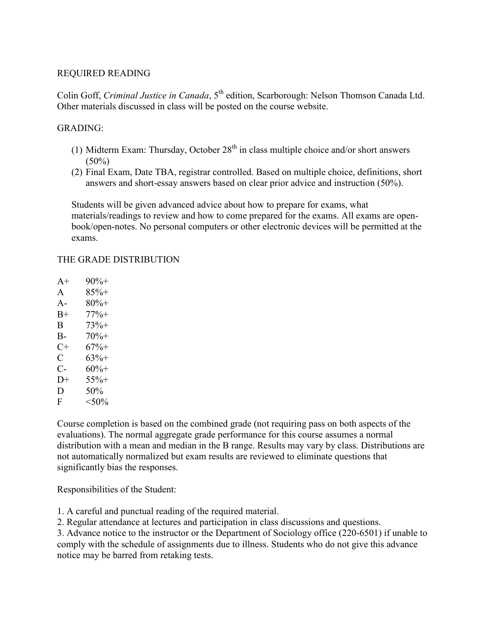## REQUIRED READING

Colin Goff, *Criminal Justice in Canada*, 5<sup>th</sup> edition, Scarborough: Nelson Thomson Canada Ltd. Other materials discussed in class will be posted on the course website.

## GRADING:

- (1) Midterm Exam: Thursday, October  $28<sup>th</sup>$  in class multiple choice and/or short answers  $(50\%)$
- (2) Final Exam, Date TBA, registrar controlled. Based on multiple choice, definitions, short answers and short-essay answers based on clear prior advice and instruction (50%).

Students will be given advanced advice about how to prepare for exams, what materials/readings to review and how to come prepared for the exams. All exams are openbook/open-notes. No personal computers or other electronic devices will be permitted at the exams.

# THE GRADE DISTRIBUTION

- $A+ 90% +$ A 85%+ A-  $80\%$ + B+ 77%+  $B = 73\% +$ B-  $70\%$ +  $C+ 67\% +$  $C = 63% +$  $C- 60\% +$  $D+$  55%+  $D = 50\%$
- F  $< 50\%$

Course completion is based on the combined grade (not requiring pass on both aspects of the evaluations). The normal aggregate grade performance for this course assumes a normal distribution with a mean and median in the B range. Results may vary by class. Distributions are not automatically normalized but exam results are reviewed to eliminate questions that significantly bias the responses.

Responsibilities of the Student:

1. A careful and punctual reading of the required material.

2. Regular attendance at lectures and participation in class discussions and questions.

3. Advance notice to the instructor or the Department of Sociology office (220-6501) if unable to comply with the schedule of assignments due to illness. Students who do not give this advance notice may be barred from retaking tests.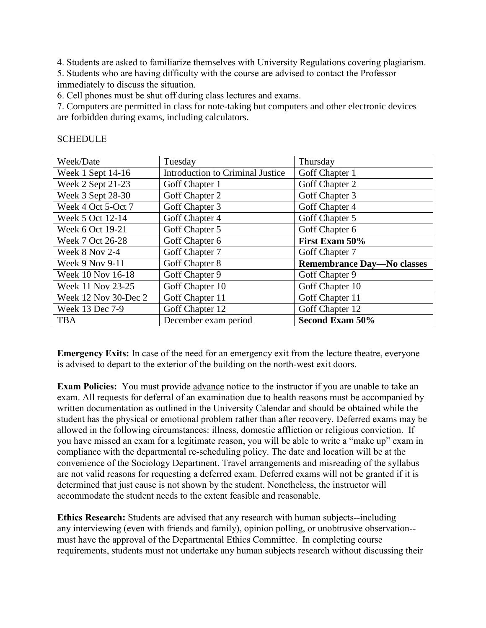4. Students are asked to familiarize themselves with University Regulations covering plagiarism.

5. Students who are having difficulty with the course are advised to contact the Professor immediately to discuss the situation.

6. Cell phones must be shut off during class lectures and exams.

7. Computers are permitted in class for note-taking but computers and other electronic devices are forbidden during exams, including calculators.

| Week/Date            | Tuesday                                 | Thursday                          |
|----------------------|-----------------------------------------|-----------------------------------|
| Week 1 Sept 14-16    | <b>Introduction to Criminal Justice</b> | Goff Chapter 1                    |
| Week 2 Sept 21-23    | Goff Chapter 1                          | Goff Chapter 2                    |
| Week 3 Sept 28-30    | Goff Chapter 2                          | Goff Chapter 3                    |
| Week 4 Oct 5-Oct 7   | Goff Chapter 3                          | Goff Chapter 4                    |
| Week 5 Oct 12-14     | Goff Chapter 4                          | Goff Chapter 5                    |
| Week 6 Oct 19-21     | Goff Chapter 5                          | Goff Chapter 6                    |
| Week 7 Oct 26-28     | Goff Chapter 6                          | First Exam 50%                    |
| Week 8 Nov 2-4       | Goff Chapter 7                          | Goff Chapter 7                    |
| Week 9 Nov 9-11      | Goff Chapter 8                          | <b>Remembrance Day-No classes</b> |
| Week 10 Nov 16-18    | Goff Chapter 9                          | Goff Chapter 9                    |
| Week 11 Nov 23-25    | Goff Chapter 10                         | Goff Chapter 10                   |
| Week 12 Nov 30-Dec 2 | Goff Chapter 11                         | Goff Chapter 11                   |
| Week 13 Dec 7-9      | Goff Chapter 12                         | Goff Chapter 12                   |
| <b>TBA</b>           | December exam period                    | <b>Second Exam 50%</b>            |

# **SCHEDULE**

**Emergency Exits:** In case of the need for an emergency exit from the lecture theatre, everyone is advised to depart to the exterior of the building on the north-west exit doors.

**Exam Policies:** You must provide advance notice to the instructor if you are unable to take an exam. All requests for deferral of an examination due to health reasons must be accompanied by written documentation as outlined in the University Calendar and should be obtained while the student has the physical or emotional problem rather than after recovery. Deferred exams may be allowed in the following circumstances: illness, domestic affliction or religious conviction. If you have missed an exam for a legitimate reason, you will be able to write a "make up" exam in compliance with the departmental re-scheduling policy. The date and location will be at the convenience of the Sociology Department. Travel arrangements and misreading of the syllabus are not valid reasons for requesting a deferred exam. Deferred exams will not be granted if it is determined that just cause is not shown by the student. Nonetheless, the instructor will accommodate the student needs to the extent feasible and reasonable.

**Ethics Research:** Students are advised that any research with human subjects--including any interviewing (even with friends and family), opinion polling, or unobtrusive observation- must have the approval of the Departmental Ethics Committee. In completing course requirements, students must not undertake any human subjects research without discussing their